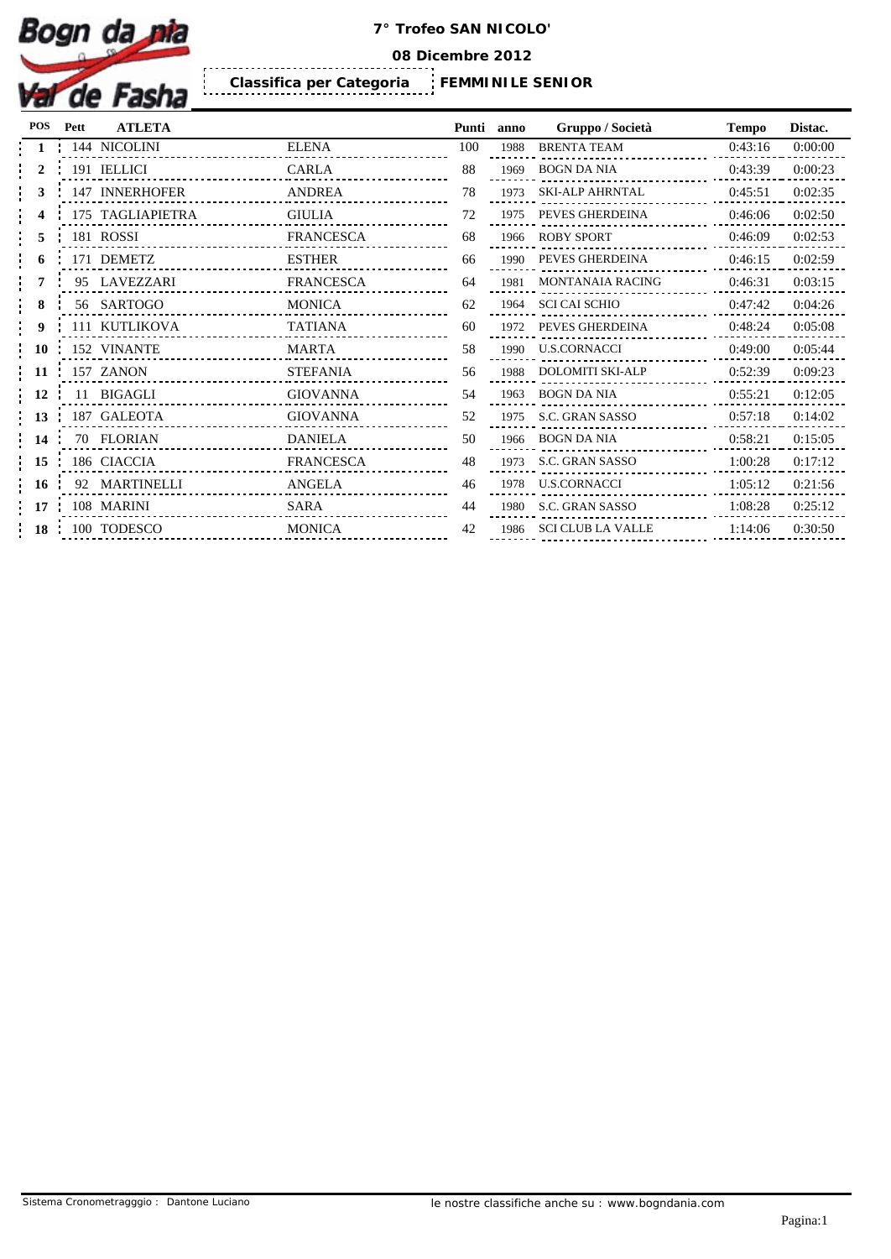

**08 Dicembre 2012**

**FEMMINILE SENIOR Classifica per Categoria** 

| POS       | Pett | <b>ATLETA</b>    |                  | Punti | anno | Gruppo / Società         | <b>Tempo</b> | Distac. |
|-----------|------|------------------|------------------|-------|------|--------------------------|--------------|---------|
|           |      | 144 NICOLINI     | <b>ELENA</b>     | 100   | 1988 | BRENTA TEAM              | 0:43:16      | 0:00:00 |
|           |      | 191 IELLICI      | CARLA            | 88    |      | 1969 BOGN DA NIA         | 0:43:39      | 0:00:23 |
|           |      | 147 INNERHOFER   | <b>ANDREA</b>    | 78    | 1973 | <b>SKI-ALP AHRNTAL</b>   | 0:45:51      | 0:02:35 |
|           |      | 175 TAGLIAPIETRA | <b>GIULIA</b>    | 72    | 1975 | PEVES GHERDEINA          | 0:46:06      | 0:02:50 |
|           |      | 181 ROSSI        | FRANCESCA        | 68    | 1966 | <b>ROBY SPORT</b>        | 0:46:09      | 0:02:53 |
|           |      | 171 DEMETZ       | <b>ESTHER</b>    | 66    | 1990 | PEVES GHERDEINA          | 0:46:15      | 0:02:59 |
|           |      | 95 LAVEZZARI     | <b>FRANCESCA</b> | 64    | 1981 | <b>MONTANAIA RACING</b>  | 0:46:31      | 0:03:15 |
|           |      | 56 SARTOGO       | <b>MONICA</b>    | 62    | 1964 | <b>SCI CAI SCHIO</b>     | 0:47:42      | 0:04:26 |
|           |      | 111 KUTLIKOVA    | <b>TATIANA</b>   | 60    | 1972 | PEVES GHERDEINA          | 0:48:24      | 0:05:08 |
| <b>10</b> |      | 152 VINANTE      | MARTA            | 58    | 1990 | <b>U.S.CORNACCI</b>      | 0:49:00      | 0:05:44 |
| 11        |      | 157 ZANON        | <b>STEFANIA</b>  | 56    | 1988 | <b>DOLOMITI SKI-ALP</b>  | 0:52:39      | 0:09:23 |
| 12        |      | 11 BIGAGLI       | <b>GIOVANNA</b>  | 54    | 1963 | <b>BOGN DA NIA</b>       | 0:55:21      | 0:12:05 |
|           |      | 187 GALEOTA      | GIOVANNA         | 52    | 1975 | S.C. GRAN SASSO          | 0:57:18      | 0:14:02 |
| 14        |      | 70 FLORIAN       | <b>DANIELA</b>   | 50    | 1966 | BOGN DA NIA              | 0:58:21      | 0:15:05 |
| 15        |      | 186 CIACCIA      | <b>FRANCESCA</b> | 48    | 1973 | S.C. GRAN SASSO          | 1:00:28      | 0:17:12 |
| -16       |      | 92 MARTINELLI    | ANGELA           | 46    | 1978 | <b>U.S.CORNACCI</b>      | 1:05:12      | 0:21:56 |
| 17        |      | 108 MARINI       | SARA             | 44    | 1980 | S.C. GRAN SASSO          | 1:08:28      | 0:25:12 |
| 18        |      | 100 TODESCO      | <b>MONICA</b>    | 42    | 1986 | <b>SCI CLUB LA VALLE</b> | 1:14:06      | 0:30:50 |

| ınti            | anno | Gruppo / Società         | <b>Tempo</b> | Distac. |
|-----------------|------|--------------------------|--------------|---------|
| $00 \,$         | 1988 | <b>BRENTA TEAM</b>       | 0:43:16      | 0:00:00 |
| 38              | 1969 | <b>BOGN DA NIA</b>       | 0:43:39      | 0:00:23 |
| 78              | 1973 | <b>SKI-ALP AHRNTAL</b>   | 0:45:51      | 0:02:35 |
| 72              | 1975 | PEVES GHERDEINA          | 0:46:06      | 0:02:50 |
| 58              | 1966 | <b>ROBY SPORT</b>        | 0:46:09      | 0:02:53 |
| 56              | 1990 | PEVES GHERDEINA          | 0:46:15      | 0:02:59 |
| 54              | 1981 | <b>MONTANAIA RACING</b>  | 0:46:31      | 0:03:15 |
| 52              | 1964 | <b>SCI CAI SCHIO</b>     | 0:47:42      | 0:04:26 |
| 50              | 1972 | PEVES GHERDEINA          | 0:48:24      | 0:05:08 |
| 58              | 1990 | U.S.CORNACCI             | 0:49:00      | 0:05:44 |
| 56              | 1988 | <b>DOLOMITI SKI-ALP</b>  | 0:52:39      | 0:09:23 |
| 54              | 1963 | <b>BOGN DA NIA</b>       | 0:55:21      | 0:12:05 |
| 52              | 1975 | <b>S.C. GRAN SASSO</b>   | 0:57:18      | 0:14:02 |
| 50              | 1966 | <b>BOGN DA NIA</b>       | 0:58:21      | 0:15:05 |
| 18              | 1973 | <b>S.C. GRAN SASSO</b>   | 1:00:28      | 0:17:12 |
| 16              | 1978 | U.S.CORNACCI             | 1:05:12      | 0:21:56 |
| 14              | 1980 | <b>S.C. GRAN SASSO</b>   | 1:08:28      | 0:25:12 |
| $\overline{12}$ | 1986 | <b>SCI CLUB LA VALLE</b> | 1:14:06      | 0:30:50 |
|                 |      |                          |              |         |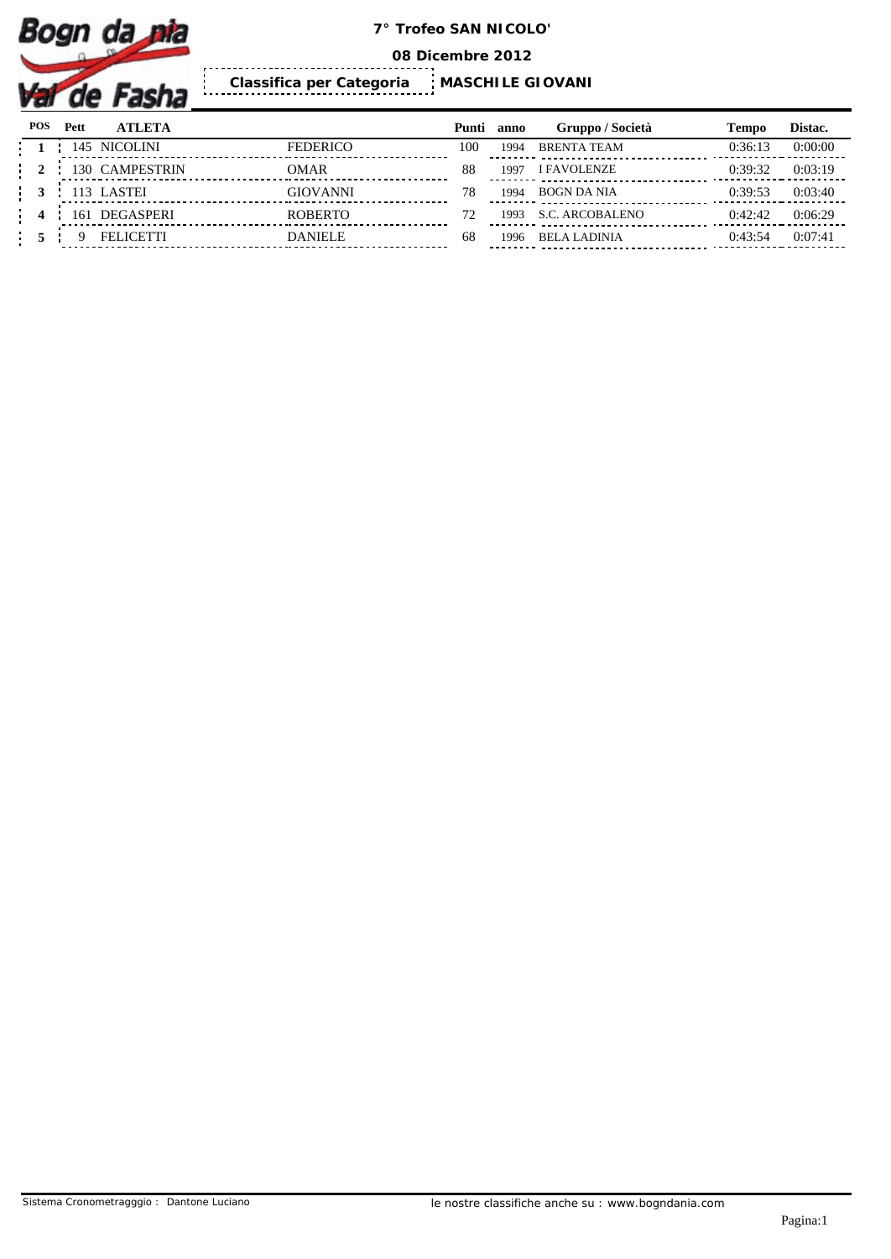

**08 Dicembre 2012**

 $\frac{1}{2}$ **MASCHILE GIOVANI Classifica per Categoria** 

| <b>POS</b> | Pett | <b>ATLETA</b>    |                 | Punti anno |      | Gruppo / Società    | Tempo   | Distac. |
|------------|------|------------------|-----------------|------------|------|---------------------|---------|---------|
|            |      | 145 NICOLINI     | <b>FEDERICO</b> | 100        | 1994 | <b>BRENTA TEAM</b>  | 0:36:13 | 0:00:00 |
|            |      | 130 CAMPESTRIN   | <b>OMAR</b>     | 88         | 1991 | <b>I FAVOLENZE</b>  | 0:39:32 | 0:03:19 |
|            |      | 113 LASTEI       | <b>GIOVANNI</b> | 78         | 1994 | <b>BOGN DA NIA</b>  | 0:39:53 | 0:03:40 |
|            | 161  | <b>DEGASPERI</b> | <b>ROBERTO</b>  |            | 1993 | S.C. ARCOBALENO     | 0:42:42 | 0:06:29 |
|            |      | FEI ICETTI       | DANIELE.        | 68         | 1996 | <b>BELA LADINIA</b> | 0:43:54 | 0:07:41 |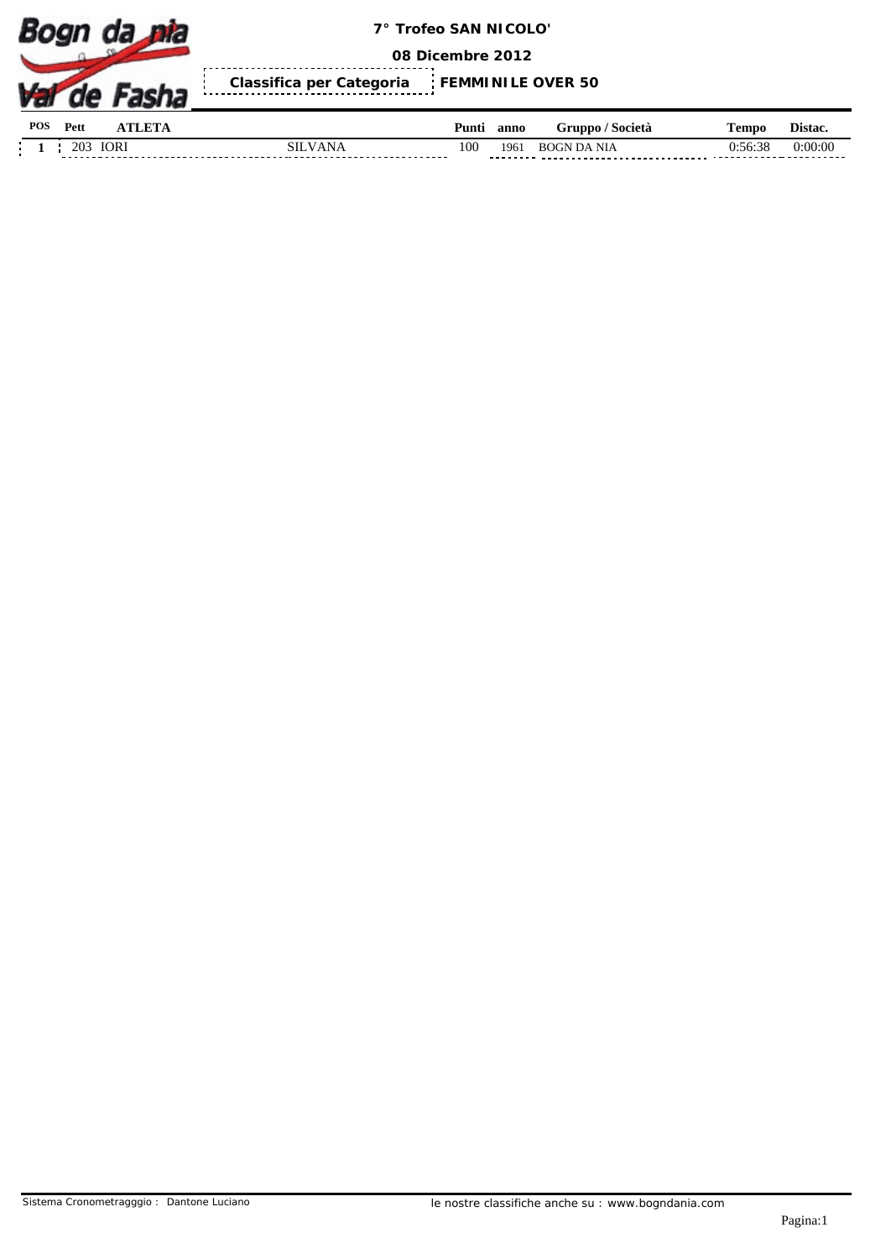

**08 Dicembre 2012**

Ĭ. **Classifica per Categoria FEMMINILE OVER 50**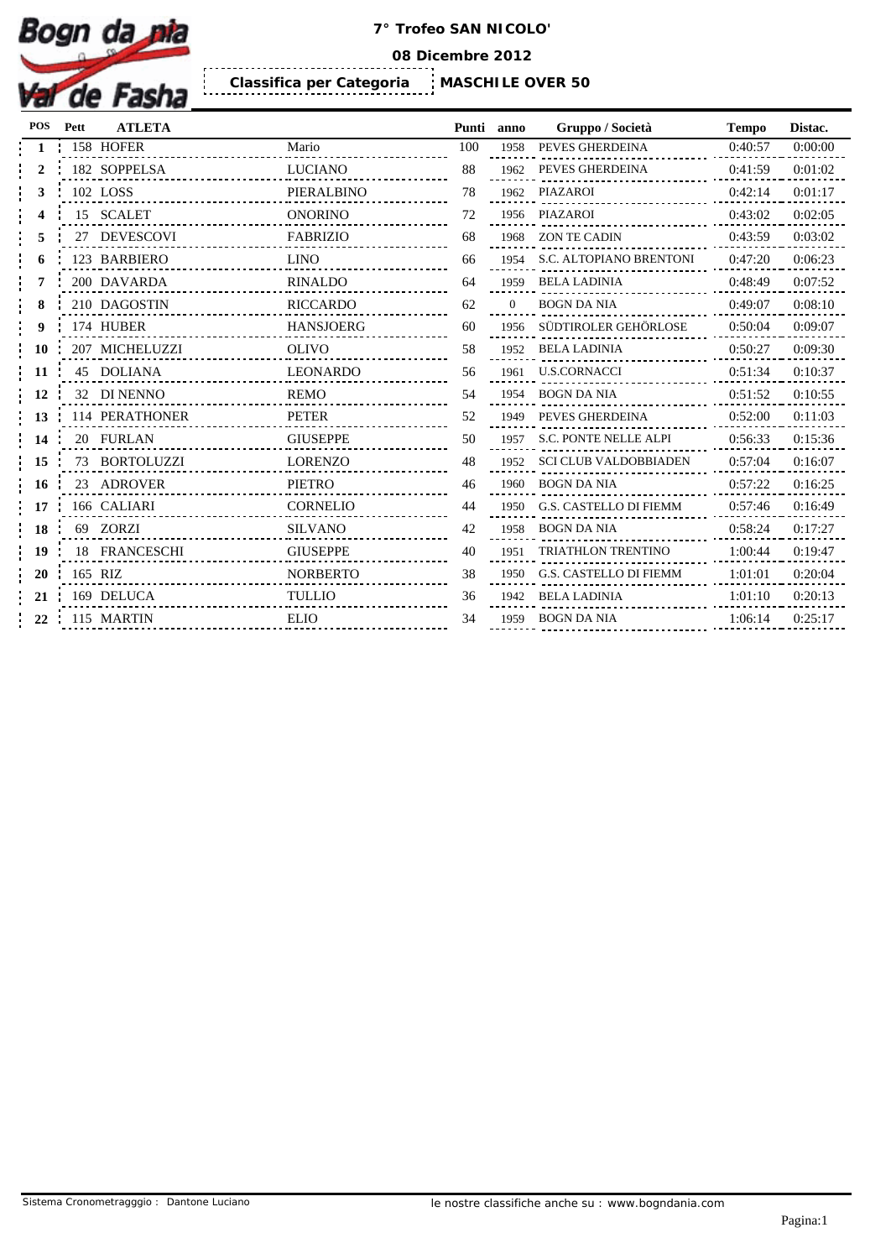

**08 Dicembre 2012**

**MASCHILE OVER 50 Classifica per Categoria** 

| POS | Pett | <b>ATLETA</b>  |                  | Punti | anno     | Gruppo / Società           | <b>Tempo</b> | Distac. |
|-----|------|----------------|------------------|-------|----------|----------------------------|--------------|---------|
|     |      | 158 HOFER      | Mario            | 100   | 1958     | PEVES GHERDEINA            | 0:40:57      | 0:00:00 |
|     |      | 182 SOPPELSA   | <b>LUCIANO</b>   | 88    |          | 1962 PEVES GHERDEINA       | 0:41:59      | 0:01:02 |
|     |      | 102 LOSS       | PIERALBINO       | 78    |          | 1962 PIAZAROI<br><u>.</u>  | 0:42:14      | 0:01:17 |
|     |      | 15 SCALET      | <b>ONORINO</b>   | 72    |          | 1956 PIAZAROI              | 0:43:02      | 0:02:05 |
|     |      | 27 DEVESCOVI   | <b>FABRIZIO</b>  | 68    |          | 1968 ZON TE CADIN          | 0:43:59      | 0:03:02 |
|     |      | 123 BARBIERO   | <b>LINO</b>      | 66    | 1954     | S.C. ALTOPIANO BRENTONI    | 0:47:20      | 0:06:23 |
|     |      | 200 DAVARDA    | <b>RINALDO</b>   | 64    | 1959     | <b>BELA LADINIA</b>        | 0:48:49      | 0:07:52 |
|     |      | 210 DAGOSTIN   | <b>RICCARDO</b>  | 62    | $\Omega$ | <b>BOGN DA NIA</b>         | 0:49:07      | 0:08:10 |
| 9   |      | 174 HUBER      | <b>HANSJOERG</b> | 60    |          | 1956 SÜDTIROLER GEHÖRLOSE  | 0:50:04      | 0:09:07 |
|     |      | 207 MICHELUZZI | <b>OLIVO</b>     | 58    |          | 1952 BELA LADINIA          | 0:50:27      | 0:09:30 |
| 11  |      | 45 DOLIANA     | LEONARDO         | 56    | 1961     | <b>U.S.CORNACCI</b>        | 0:51:34      | 0:10:37 |
| 12  |      | 32 DI NENNO    | <b>REMO</b>      | 54    |          | 1954 BOGN DA NIA           | 0:51:52      | 0:10:55 |
| 13  |      | 114 PERATHONER | PETER            | 52    |          | 1949 PEVES GHERDEINA       | 0:52:00      | 0:11:03 |
| 14  |      | 20 FURLAN      | <b>GIUSEPPE</b>  | 50    | 1957     | S.C. PONTE NELLE ALPI      | 0:56:33      | 0:15:36 |
| 15  |      | 73 BORTOLUZZI  | <b>LORENZO</b>   | 48    |          | 1952 SCI CLUB VALDOBBIADEN | 0:57:04      | 0:16:07 |
| 16  |      | 23 ADROVER     | PIETRO           | 46    |          | 1960 BOGN DA NIA           | 0:57:22      | 0:16:25 |
| 17  |      | 166 CALIARI    | <b>CORNELIO</b>  | 44    | 1950     | G.S. CASTELLO DI FIEMM     | 0:57:46      | 0:16:49 |
| 18  |      | 69 ZORZI       | <b>SILVANO</b>   | 42    |          | 1958 BOGN DA NIA           | 0:58:24      | 0:17:27 |
| 19  |      | 18 FRANCESCHI  | <b>GIUSEPPE</b>  | 40    | 1951     | TRIATHLON TRENTINO         | 1:00:44      | 0:19:47 |
| 20  |      | 165 RIZ        | <b>NORBERTO</b>  | 38    | 1950     | G.S. CASTELLO DI FIEMM     | 1:01:01      | 0:20:04 |
| 21  |      | 169 DELUCA     | <b>TULLIO</b>    | 36    |          | 1942 BELA LADINIA          | 1:01:10      | 0:20:13 |
| 22  |      | 115 MARTIN     | <b>ELIO</b>      | 34    | 1959     | <b>BOGN DA NIA</b>         | 1:06:14      | 0:25:17 |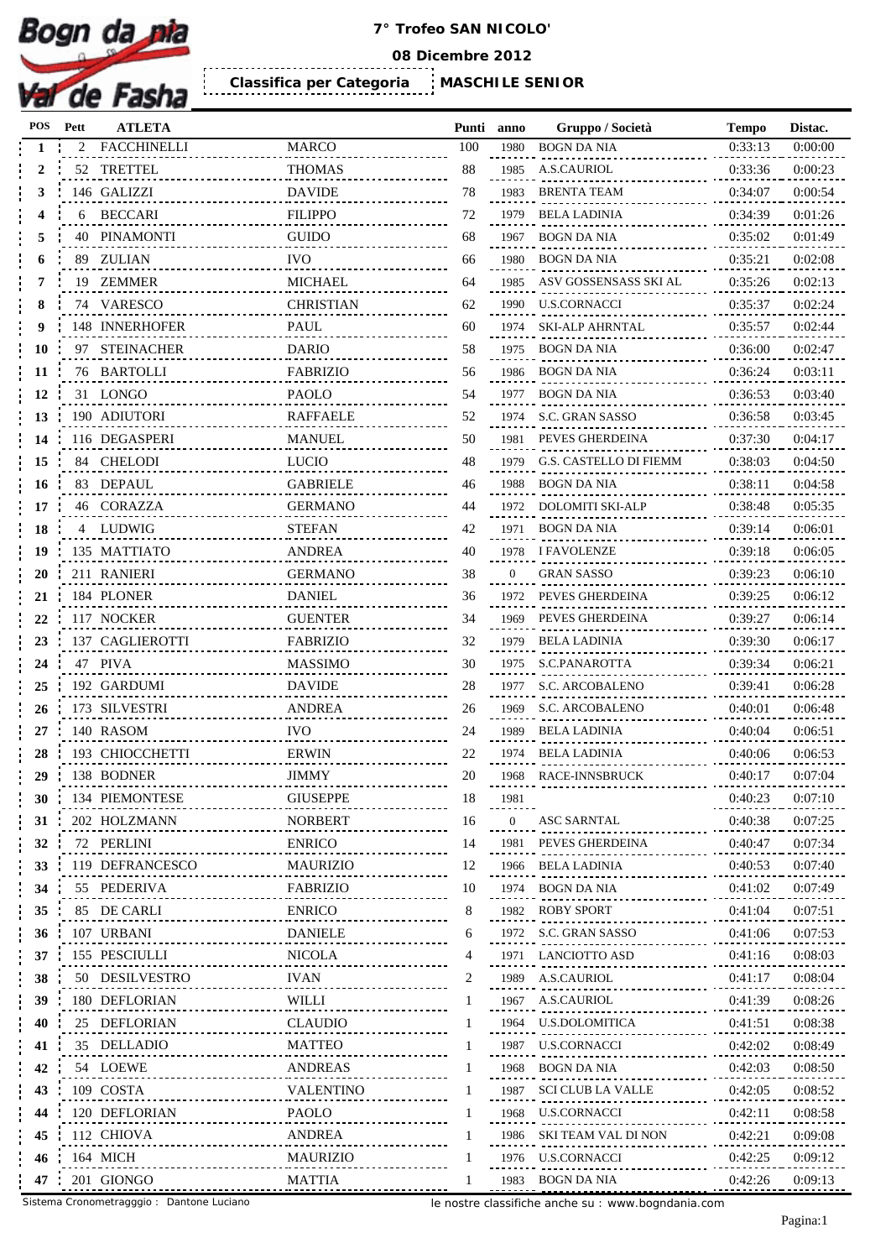

**08 Dicembre 2012**

.......................... **MASCHILE SENIOR Classifica per Categoria** 

| POS | Pett | <b>ATLETA</b>                |                  | Punti anno |          | Gruppo / Società       | <b>Tempo</b> | Distac. |
|-----|------|------------------------------|------------------|------------|----------|------------------------|--------------|---------|
|     |      | <b>FACCHINELLI</b>           | <b>MARCO</b>     | 100        | 1980     | <b>BOGN DA NIA</b>     | 0:33:13      | 0:00:00 |
| 2   |      | 52 TRETTEL                   | <b>THOMAS</b>    | 88         | 1985     | <b>A.S.CAURIOL</b>     | 0:33:36      | 0:00:23 |
| 3   |      | 146 GALIZZI                  | <b>DAVIDE</b>    | 78         | 1983     | <b>BRENTA TEAM</b>     | 0:34:07      | 0:00:54 |
|     | 6    | <b>BECCARI</b>               | <b>FILIPPO</b>   | 72         | 1979     | <b>BELA LADINIA</b>    | 0:34:39      | 0:01:26 |
| 5   | 40   | <b>PINAMONTI</b>             | <b>GUIDO</b>     | 68         | 1967     | <b>BOGN DA NIA</b>     | 0:35:02      | 0:01:49 |
|     | 89   | <b>ZULIAN</b>                | <b>IVO</b>       | 66         | 1980     | <b>BOGN DA NIA</b>     | 0:35:21      | 0:02:08 |
|     | 19   | ZEMMER                       | <b>MICHAEL</b>   | 64         | 1985     | ASV GOSSENSASS SKI AL  | 0:35:26      | 0:02:13 |
| 8   |      | 74 VARESCO                   | <b>CHRISTIAN</b> | 62         | 1990     | U.S.CORNACCI           | 0:35:37      | 0:02:24 |
| 9   |      | 148 INNERHOFER               | PAUL             | 60         | 1974     | <b>SKI-ALP AHRNTAL</b> | 0:35:57      | 0:02:44 |
| 10  |      | 97 STEINACHER                | <b>DARIO</b>     | 58         | 1975     | <b>BOGN DA NIA</b>     | 0:36:00      | 0:02:47 |
| 11  |      | 76 BARTOLLI                  | <b>FABRIZIO</b>  | 56         | 1986     | <b>BOGN DA NIA</b>     | 0:36:24      | 0:03:11 |
| 12  |      | 31 LONGO                     | <b>PAOLO</b>     | 54         |          | 1977 BOGN DA NIA       | 0:36:53      | 0:03:40 |
| 13  |      | 190 ADIUTORI                 | <b>RAFFAELE</b>  | 52         | 1974     | S.C. GRAN SASSO        | 0:36:58      | 0:03:45 |
| 14  |      | 116 DEGASPERI                | <b>MANUEL</b>    | 50         | 1981     | PEVES GHERDEINA        | 0:37:30      | 0:04:17 |
| 15  |      | 84 CHELODI                   | <b>LUCIO</b>     | 48         | 1979     | G.S. CASTELLO DI FIEMM | 0:38:03      | 0:04:50 |
| 16  |      | 83 DEPAUL                    | <b>GABRIELE</b>  | 46         | 1988     | BOGN DA NIA            | 0:38:11      | 0:04:58 |
| 17  |      | 46 CORAZZA                   | <b>GERMANO</b>   | 44         | 1972     | DOLOMITI SKI-ALP       | 0:38:48      | 0:05:35 |
| 18  | 4    | LUDWIG                       | <b>STEFAN</b>    | 42         | 1971     | <b>BOGN DA NIA</b>     | 0:39:14      | 0:06:01 |
| 19  |      | 135 MATTIATO                 | <b>ANDREA</b>    | 40         | 1978     | <b>I FAVOLENZE</b>     | 0:39:18      | 0:06:05 |
| 20  |      | 211 RANIERI                  | <b>GERMANO</b>   | 38         | $\Omega$ | <b>GRAN SASSO</b>      | 0:39:23      | 0:06:10 |
| 21  |      | 184 PLONER                   | <b>DANIEL</b>    | 36         | 1972     | PEVES GHERDEINA        | 0:39:25      | 0:06:12 |
| 22  |      | 117 NOCKER                   | <b>GUENTER</b>   | 34         | 1969     | PEVES GHERDEINA        | 0:39:27      | 0:06:14 |
| 23  |      | 137 CAGLIEROTTI              | <b>FABRIZIO</b>  | 32         | 1979     | <b>BELA LADINIA</b>    | 0:39:30      | 0:06:17 |
|     |      | 47 PIVA                      | <b>MASSIMO</b>   |            | 1975     | S.C.PANAROTTA          |              |         |
| 24  |      |                              |                  | 30         |          |                        | 0:39:34      | 0:06:21 |
| 25  |      | 192 GARDUMI<br>173 SILVESTRI | <b>DAVIDE</b>    | 28         | 1977     | S.C. ARCOBALENO        | 0:39:41      | 0:06:28 |
| 26  |      |                              | <b>ANDREA</b>    | 26         | 1969     | S.C. ARCOBALENO        | 0:40:01      | 0:06:48 |
| 27  |      | 140 RASOM                    | <b>IVO</b>       | 24         | 1989     | <b>BELA LADINIA</b>    | 0:40:04      | 0:06:51 |
| 28  |      | 193 CHIOCCHETTI              | <b>ERWIN</b>     | 22         |          | 1974 BELA LADINIA      | 0:40:06      | 0:06:53 |
| 29  |      | 138 BODNER                   | <b>JIMMY</b>     | 20         | 1968     | RACE-INNSBRUCK         | 0:40:17      | 0:07:04 |
| 30  |      | 134 PIEMONTESE               | <b>GIUSEPPE</b>  | 18         | 1981     |                        | 0:40:23      | 0:07:10 |
| 31  |      | 202 HOLZMANN                 | <b>NORBERT</b>   | 16         | 0        | ASC SARNTAL            | 0:40:38      | 0:07:25 |
| 32  |      | 72 PERLINI                   | <b>ENRICO</b>    | 14         |          | 1981 PEVES GHERDEINA   | 0:40:47      | 0:07:34 |
| 33  |      | 119 DEFRANCESCO              | <b>MAURIZIO</b>  | 12         | 1966     | BELA LADINIA           | 0:40:53      | 0:07:40 |
| 34  |      | 55 PEDERIVA                  | FABRIZIO         | 10         |          | 1974 BOGN DA NIA       | 0:41:02      | 0:07:49 |
| 35  |      | 85 DE CARLI                  | <b>ENRICO</b>    | 8          |          | 1982 ROBY SPORT        | 0:41:04      | 0:07:51 |
| 36  |      | 107 URBANI                   | <b>DANIELE</b>   | 6          |          | 1972 S.C. GRAN SASSO   | 0:41:06      | 0:07:53 |
| 37  |      | 155 PESCIULLI                | <b>NICOLA</b>    |            |          | 1971 LANCIOTTO ASD     | 0:41:16      | 0:08:03 |
| 38  |      | 50 DESILVESTRO               | <b>IVAN</b>      |            |          | 1989 A.S.CAURIOL       | 0:41:17      | 0:08:04 |
| 39  |      | 180 DEFLORIAN                | WILLI            |            |          | 1967 A.S.CAURIOL       | 0:41:39      | 0:08:26 |
| 40  |      | 25 DEFLORIAN                 | <b>CLAUDIO</b>   |            |          | 1964 U.S.DOLOMITICA    | 0:41:51      | 0:08:38 |
| 41  |      | 35 DELLADIO                  | <b>MATTEO</b>    |            |          | 1987 U.S.CORNACCI      | 0:42:02      | 0:08:49 |
| 42  |      | 54 LOEWE                     | <b>ANDREAS</b>   |            |          | 1968 BOGN DA NIA       | 0:42:03      | 0:08:50 |
| 43  |      | 109 COSTA                    | VALENTINO        |            | 1987     | SCI CLUB LA VALLE      | 0:42:05      | 0:08:52 |
| 44  |      | 120 DEFLORIAN                | <b>PAOLO</b>     |            | 1968     | U.S.CORNACCI           | 0:42:11      | 0:08:58 |
| 45  |      | 112 CHIOVA                   | ANDREA           |            | 1986     | SKI TEAM VAL DI NON    | 0:42:21      | 0:09:08 |
| 46  |      | 164 MICH                     | <b>MAURIZIO</b>  |            |          | 1976 U.S.CORNACCI      | 0:42:25      | 0:09:12 |
| 47  |      | 201 GIONGO                   | MATTIA           |            |          | 1983 BOGN DA NIA       | 0:42:26      | 0:09:13 |
|     |      |                              |                  |            |          |                        |              |         |

Sistema Cronometragggio : Dantone Luciano

le nostre classifiche anche su : www.bogndania.com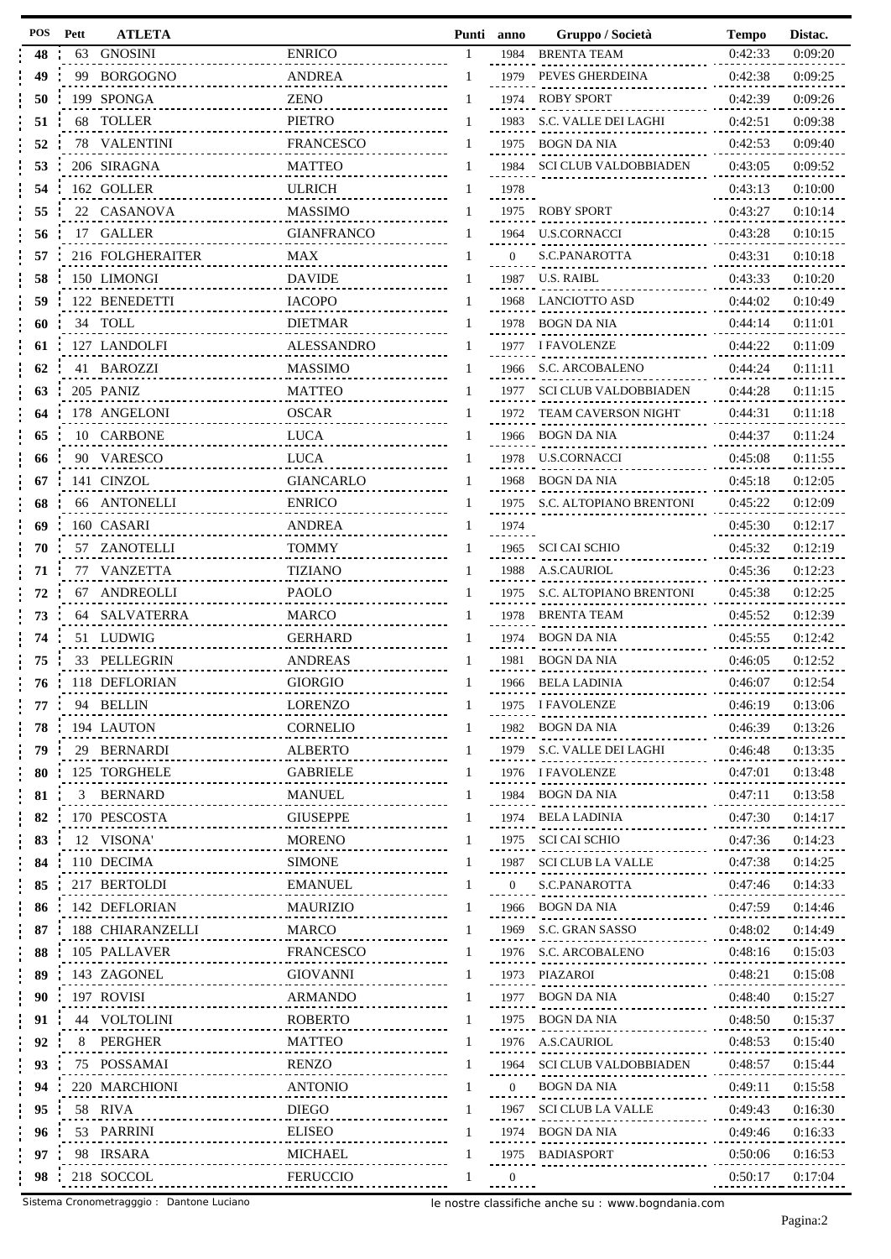| POS | Pett | <b>ATLETA</b>                     |                      |   | Punti anno       | Gruppo / Società                                         | <b>Tempo</b> | Distac. |
|-----|------|-----------------------------------|----------------------|---|------------------|----------------------------------------------------------|--------------|---------|
| 48  | 63   | <b>GNOSINI</b>                    | <b>ENRICO</b>        |   | 1984             | <b>BRENTA TEAM</b>                                       | 0:42:33      | 0:09:20 |
| 49  |      | 99 BORGOGNO                       | <b>ANDREA</b>        |   |                  | 1979 PEVES GHERDEINA                                     | 0:42:38      | 0:09:25 |
| 50  |      | 199 SPONGA                        | <b>ZENO</b>          |   | 1974             | <b>ROBY SPORT</b>                                        | 0:42:39      | 0:09:26 |
| 51  |      | 68 TOLLER                         | <b>PIETRO</b>        |   | 1983             | S.C. VALLE DEI LAGHI                                     | 0:42:51      | 0:09:38 |
| 52  |      | 78 VALENTINI                      | <b>FRANCESCO</b>     |   | 1975             | <b>BOGN DA NIA</b>                                       | 0:42:53      | 0:09:40 |
| 53  |      | 206 SIRAGNA                       | <b>MATTEO</b>        |   |                  | 1984 SCI CLUB VALDOBBIADEN                               | 0:43:05      | 0:09:52 |
| 54  |      | 162 GOLLER                        | <b>ULRICH</b>        |   | 1978             |                                                          | 0:43:13      | 0:10:00 |
| 55  |      | 22 CASANOVA                       | <b>MASSIMO</b>       |   |                  | 1975 ROBY SPORT                                          | 0:43:27      | 0:10:14 |
| 56  |      | 17 GALLER                         | <b>GIANFRANCO</b>    |   | 1964             | <b>U.S.CORNACCI</b>                                      | 0:43:28      | 0:10:15 |
| 57  |      | 216 FOLGHERAITER                  | <b>MAX</b>           |   | $\Omega$         | S.C.PANAROTTA                                            | 0:43:31      | 0:10:18 |
|     |      |                                   |                      |   |                  |                                                          |              |         |
| 58  |      | 150 LIMONGI                       | <b>DAVIDE</b>        |   |                  | 1987 U.S. RAIBL                                          | 0:43:33      | 0:10:20 |
| 59  |      | 122 BENEDETTI                     | <b>IACOPO</b>        |   |                  | 1968 LANCIOTTO ASD                                       | 0:44:02      | 0:10:49 |
| 60  |      | 34 TOLL                           | <b>DIETMAR</b>       |   | 1978             | BOGN DA NIA                                              | 0:44:14      | 0:11:01 |
| 61  |      | 127 LANDOLFI                      | <b>ALESSANDRO</b>    |   |                  | 1977 I FAVOLENZE                                         | 0:44:22      | 0:11:09 |
| 62  |      | 41 BAROZZI                        | <b>MASSIMO</b>       |   | 1966             | S.C. ARCOBALENO                                          | 0:44:24      | 0:11:11 |
| 63  |      | 205 PANIZ                         | <b>MATTEO</b>        |   | 1977             | <b>SCI CLUB VALDOBBIADEN</b>                             | 0:44:28      | 0:11:15 |
| 64  |      | 178 ANGELONI                      | <b>OSCAR</b>         |   | 1972             | <b>TEAM CAVERSON NIGHT</b>                               | 0:44:31      | 0:11:18 |
| 65  |      | 10 CARBONE                        | <b>LUCA</b>          |   |                  | 1966 BOGN DA NIA                                         | 0:44:37      | 0:11:24 |
| 66  |      | 90 VARESCO                        | <b>LUCA</b>          |   | 1978             | U.S.CORNACCI                                             | 0:45:08      | 0:11:55 |
| 67  |      | 141 CINZOL                        | <b>GIANCARLO</b>     |   |                  | 1968 BOGN DA NIA                                         | 0:45:18      | 0:12:05 |
| 68  |      | 66 ANTONELLI                      | <b>ENRICO</b>        |   |                  | 1975 S.C. ALTOPIANO BRENTONI                             | 0:45:22      | 0:12:09 |
| 69  |      | 160 CASARI                        | <b>ANDREA</b>        |   | 1974             |                                                          | 0:45:30      | 0:12:17 |
| 70  |      | 57 ZANOTELLI                      | <b>TOMMY</b>         |   | 1965             | <b>SCI CAI SCHIO</b>                                     | 0:45:32      | 0:12:19 |
|     |      |                                   |                      |   |                  | 1988 A.S.CAURIOL                                         |              |         |
| 71  |      | 77 VANZETTA                       | <b>TIZIANO</b>       |   |                  |                                                          | 0:45:36      | 0:12:23 |
| 72  |      | 67 ANDREOLLI                      | PAOLO                |   | 1975             | S.C. ALTOPIANO BRENTONI                                  | 0:45:38      | 0:12:25 |
| 73  |      | 64 SALVATERRA                     | <b>MARCO</b>         |   |                  | 1978 BRENTA TEAM                                         | 0:45:52      | 0:12:39 |
| 74  |      | 51 LUDWIG                         | <b>GERHARD</b>       |   | 1974             | <b>BOGN DA NIA</b>                                       | 0:45:55      | 0:12:42 |
| 75  |      | 33 PELLEGRIN                      | <b>ANDREAS</b>       |   |                  | 1981 BOGN DA NIA                                         | 0:46:05      | 0:12:52 |
| 76  |      | 118 DEFLORIAN                     | <b>GIORGIO</b>       |   |                  | 1966 BELA LADINIA                                        | 0:46:07      | 0:12:54 |
| 77  |      | 94 BELLIN                         | <b>LORENZO</b>       | 1 |                  | 1975 I FAVOLENZE                                         | 0:46:19      | 0:13:06 |
| 78  |      | 194 LAUTON                        | <b>CORNELIO</b>      |   | 1982             | BOGN DA NIA                                              | 0:46:39      | 0:13:26 |
| 79  |      | 29 BERNARDI<br>.                  | <b>ALBERTO</b><br>.  |   |                  | 1979 S.C. VALLE DEI LAGHI                                | 0:46:48      | 0:13:35 |
| 80  |      | 125 TORGHELE<br>.                 | <b>GABRIELE</b><br>. |   |                  | 1976 I FAVOLENZE<br>,                                    | 0:47:01      | 0:13:48 |
| 81  |      | 3 BERNARD<br><u>.</u>             | <b>MANUEL</b>        |   | 1984             | BOGN DA NIA                                              | 0:47:11      | 0:13:58 |
| 82  |      | 170 PESCOSTA                      | .<br><b>GIUSEPPE</b> |   | 1974             | . <sub>.</sub><br>BELA LADINIA                           | 0:47:30      | 0:14:17 |
| 83  |      | .<br>12 VISONA'                   | <b>MORENO</b>        |   |                  | 、<br>- - - - - - - - - - - - - - -<br>1975 SCI CAI SCHIO | 0:47:36      | 0:14:23 |
| 84  |      | 110 DECIMA                        | <b>SIMONE</b>        |   | 1987             | SCI CLUB LA VALLE                                        | 0:47:38      | 0:14:25 |
| 85  |      | .<br>217 BERTOLDI                 | <b>EMANUEL</b>       |   | $\overline{0}$   | 22<br>. <b>.</b><br>S.C.PANAROTTA                        | 0:47:46      | 0:14:33 |
|     |      |                                   |                      |   |                  | <br>. <b></b>                                            |              |         |
| 86  |      | 142 DEFLORIAN                     | <b>MAURIZIO</b>      |   | 1966             | BOGN DA NIA<br>                                          | 0:47:59      | 0:14:46 |
| 87  |      | 188 CHIARANZELLI                  | MARCO                |   |                  | 1969 S.C. GRAN SASSO<br>-<br>--------------              | 0:48:02      | 0:14:49 |
| 88  |      | 105 PALLAVER<br>.                 | FRANCESCO            |   | 1976             | S.C. ARCOBALENO<br>-----<br>                             | 0:48:16      | 0:15:03 |
| 89  |      | 143 ZAGONEL<br>.                  | <b>GIOVANNI</b>      | 1 |                  | 1973 PIAZAROI<br>.                                       | 0:48:21      | 0:15:08 |
| 90  |      | 197 ROVISI<br><u></u>             | ARMANDO              |   | 1977             | BOGN DA NIA<br>.<br>.                                    | 0:48:40      | 0:15:27 |
| 91  |      | 44 VOLTOLINI<br>.                 | <b>ROBERTO</b>       |   |                  | 1975 BOGN DA NIA<br>----------------                     | 0:48:50      | 0:15:37 |
| 92  | 8    | PERGHER<br><u>.</u>               | MATTEO<br>.          |   | 1976             | A.S.CAURIOL                                              | 0:48:53      | 0:15:40 |
| 93  |      | 75 POSSAMAI<br>.                  | RENZO<br>.           | 1 | 1964             | <b>SCI CLUB VALDOBBIADEN</b>                             | 0:48:57      | 0:15:44 |
| 94  |      | 220 MARCHIONI<br><u>.</u>         | <b>ANTONIO</b>       |   | $\overline{0}$   | BOGN DA NIA                                              | 0:49:11      | 0:15:58 |
| 95  |      | 58 RIVA<br>.                      | <b>DIEGO</b>         | L | 1967             | SCI CLUB LA VALLE                                        | 0:49:43      | 0:16:30 |
| 96  |      | 53 PARRINI<br>.                   | <b>ELISEO</b>        |   | 1974             | BOGN DA NIA                                              | 0:49:46      | 0:16:33 |
| 97  |      | 98 IRSARA                         | MICHAEL              |   |                  | <u>.</u><br><br>1975 BADIASPORT                          | 0:50:06      | 0:16:53 |
| 98  |      | . <b>.</b><br>218 SOCCOL          | <b>FERUCCIO</b>      |   | $\boldsymbol{0}$ |                                                          | 0:50:17      | 0:17:04 |
|     |      | .FE<br>-------------------------- |                      |   |                  |                                                          |              |         |

Sistema Cronometragggio : Dantone Luciano

le nostre classifiche anche su : www.bogndania.com